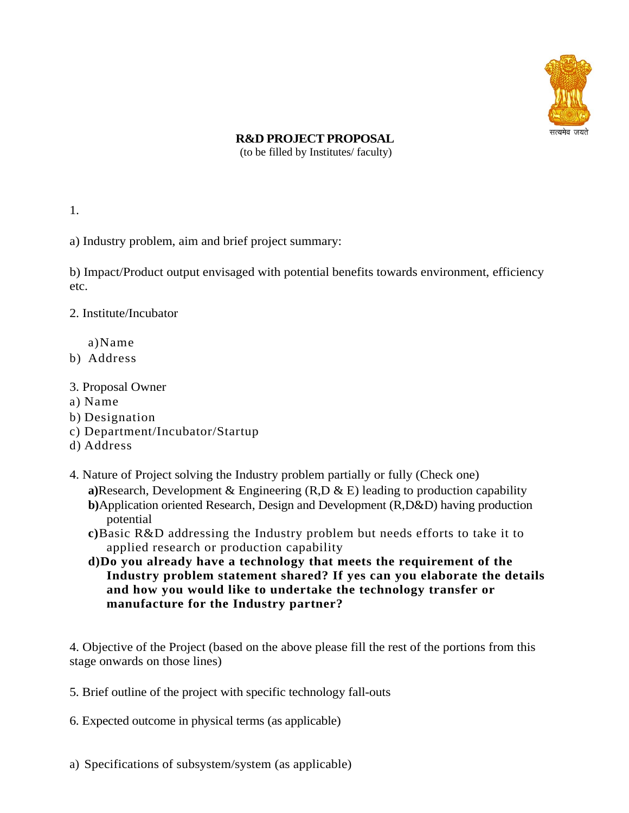

## **R&D PROJECT PROPOSAL**

(to be filled by Institutes/ faculty)

1.

a) Industry problem, aim and brief project summary:

b) Impact/Product output envisaged with potential benefits towards environment, efficiency etc.

2. Institute/Incubator

a)Name

- b) Address
- 3. Proposal Owner
- a) Name
- b) Designation
- c) Department/Incubator/Startup
- d) Address
- 4. Nature of Project solving the Industry problem partially or fully (Check one)
	- **a)**Research, Development & Engineering (R,D & E) leading to production capability
	- **b)**Application oriented Research, Design and Development (R,D&D) having production potential
	- **c)**Basic R&D addressing the Industry problem but needs efforts to take it to applied research or production capability
	- **d)Do you already have a technology that meets the requirement of the Industry problem statement shared? If yes can you elaborate the details and how you would like to undertake the technology transfer or manufacture for the Industry partner?**

4. Objective of the Project (based on the above please fill the rest of the portions from this stage onwards on those lines)

- 5. Brief outline of the project with specific technology fall-outs
- 6. Expected outcome in physical terms (as applicable)
- a) Specifications of subsystem/system (as applicable)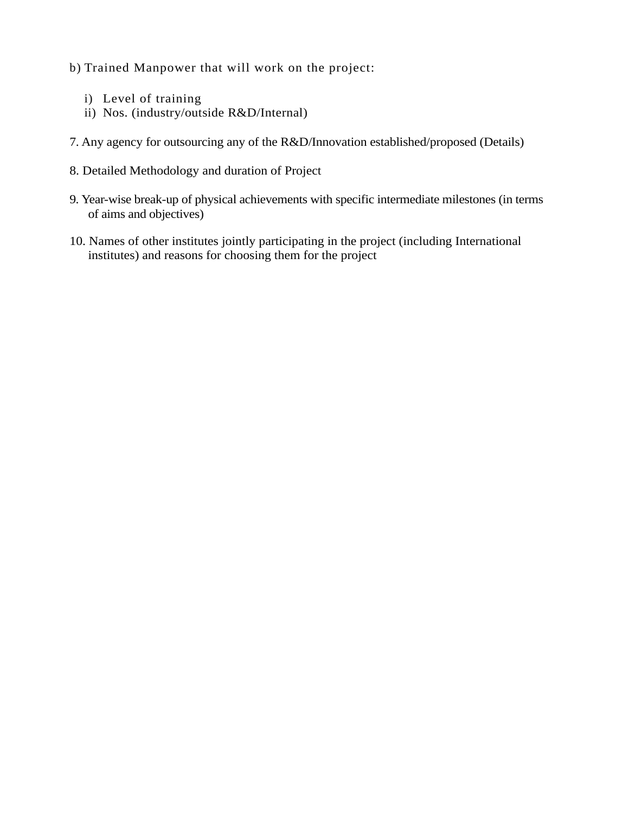b) Trained Manpower that will work on the project:

- i) Level of training
- ii) Nos. (industry/outside R&D/Internal)
- 7. Any agency for outsourcing any of the R&D/Innovation established/proposed (Details)
- 8. Detailed Methodology and duration of Project
- 9. Year-wise break-up of physical achievements with specific intermediate milestones (in terms of aims and objectives)
- 10. Names of other institutes jointly participating in the project (including International institutes) and reasons for choosing them for the project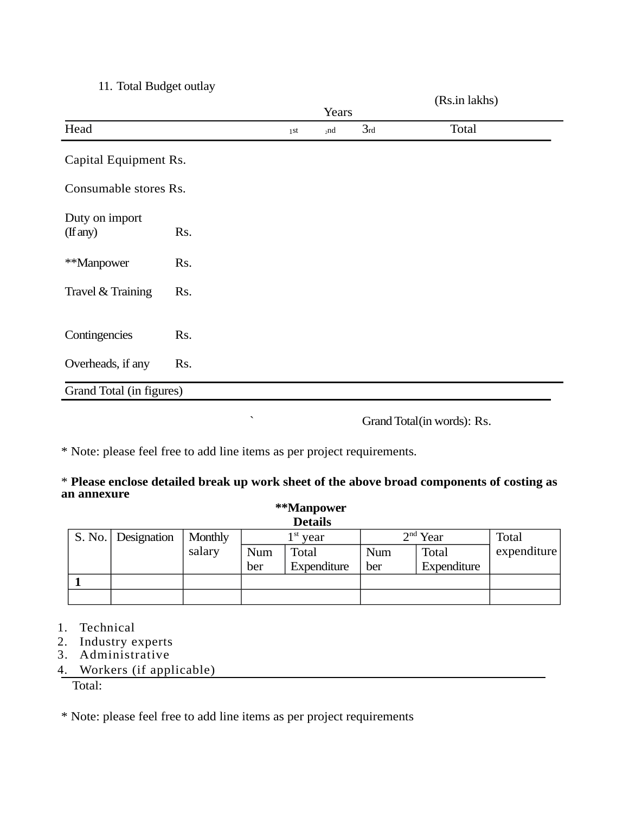## 11. Total Budget outlay

|                            |     |       |     |     | (Rs.in lakhs) |  |
|----------------------------|-----|-------|-----|-----|---------------|--|
|                            |     | Years |     |     |               |  |
| Head                       |     | 1st   | 2nd | 3rd | Total         |  |
| Capital Equipment Rs.      |     |       |     |     |               |  |
| Consumable stores Rs.      |     |       |     |     |               |  |
| Duty on import<br>(If any) | Rs. |       |     |     |               |  |
| **Manpower                 | Rs. |       |     |     |               |  |
| Travel & Training          | Rs. |       |     |     |               |  |
| Contingencies              | Rs. |       |     |     |               |  |
| Overheads, if any          | Rs. |       |     |     |               |  |
| Grand Total (in figures)   |     |       |     |     |               |  |
|                            |     |       |     |     |               |  |

` Grand Total(in words): Rs.

\* Note: please feel free to add line items as per project requirements.

## \* **Please enclose detailed break up work sheet of the above broad components of costing as an annexure**

| **Manpower     |                      |         |            |              |            |             |              |  |  |  |  |  |  |
|----------------|----------------------|---------|------------|--------------|------------|-------------|--------------|--|--|--|--|--|--|
| <b>Details</b> |                      |         |            |              |            |             |              |  |  |  |  |  |  |
|                | S. No.   Designation | Monthly | $1st$ year |              | $2nd$ Year |             | <b>Total</b> |  |  |  |  |  |  |
|                |                      | salary  | Num        | <b>Total</b> | Num        | Total       | expenditure  |  |  |  |  |  |  |
|                |                      |         | ber        | Expenditure  | ber        | Expenditure |              |  |  |  |  |  |  |
|                |                      |         |            |              |            |             |              |  |  |  |  |  |  |
|                |                      |         |            |              |            |             |              |  |  |  |  |  |  |

- 1. Technical
- 2. Industry experts
- 3. Administrative
- 4. Workers (if applicable)

Total:

\* Note: please feel free to add line items as per project requirements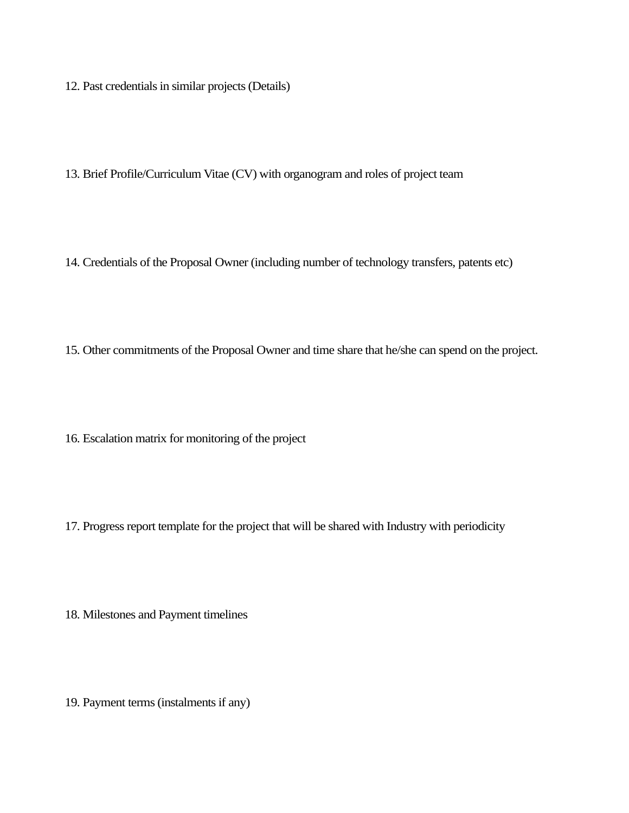12. Past credentials in similar projects (Details)

13. Brief Profile/Curriculum Vitae (CV) with organogram and roles of project team

14. Credentials of the Proposal Owner (including number of technology transfers, patents etc)

15. Other commitments of the Proposal Owner and time share that he/she can spend on the project.

16. Escalation matrix for monitoring of the project

17. Progress report template for the project that will be shared with Industry with periodicity

18. Milestones and Payment timelines

19. Payment terms (instalments if any)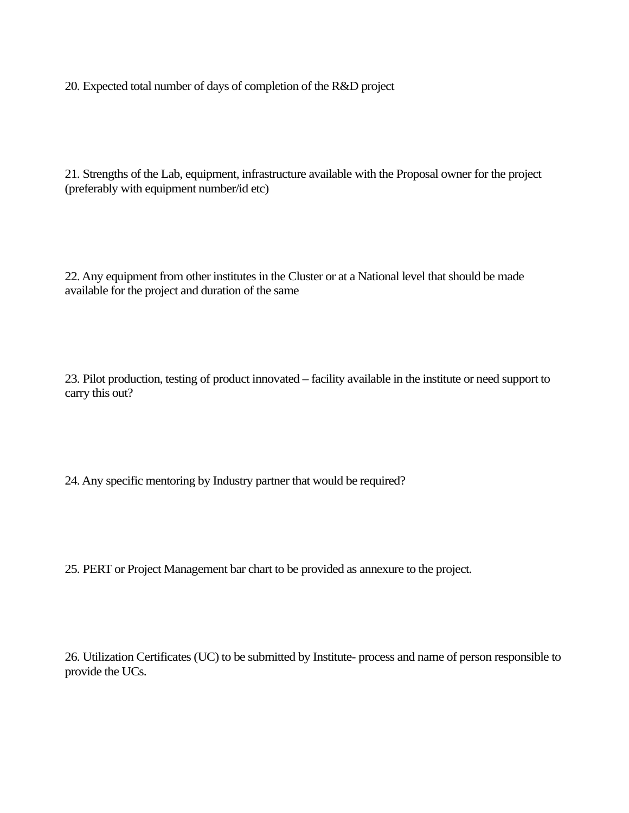20. Expected total number of days of completion of the R&D project

21. Strengths of the Lab, equipment, infrastructure available with the Proposal owner for the project (preferably with equipment number/id etc)

22. Any equipment from other institutes in the Cluster or at a National level that should be made available for the project and duration of the same

23. Pilot production, testing of product innovated – facility available in the institute or need support to carry this out?

24. Any specific mentoring by Industry partner that would be required?

25. PERT or Project Management bar chart to be provided as annexure to the project.

26. Utilization Certificates (UC) to be submitted by Institute- process and name of person responsible to provide the UCs.